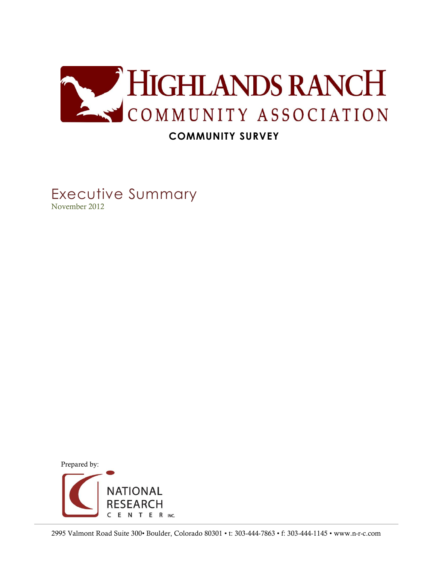

# **COMMUNITY SURVEY**

Executive Summary November 2012

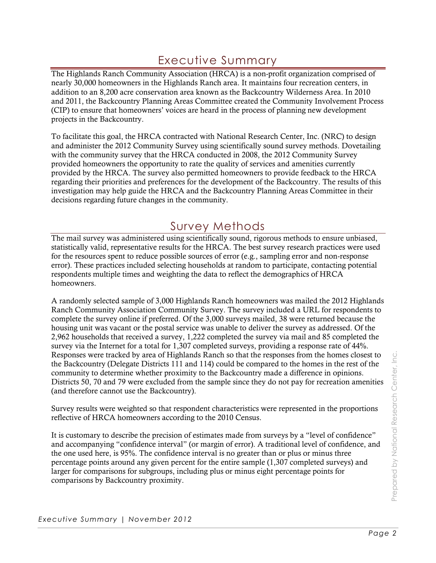# Executive Summary

The Highlands Ranch Community Association (HRCA) is a non-profit organization comprised of nearly 30,000 homeowners in the Highlands Ranch area. It maintains four recreation centers, in addition to an 8,200 acre conservation area known as the Backcountry Wilderness Area. In 2010 and 2011, the Backcountry Planning Areas Committee created the Community Involvement Process (CIP) to ensure that homeowners' voices are heard in the process of planning new development projects in the Backcountry.

To facilitate this goal, the HRCA contracted with National Research Center, Inc. (NRC) to design and administer the 2012 Community Survey using scientifically sound survey methods. Dovetailing with the community survey that the HRCA conducted in 2008, the 2012 Community Survey provided homeowners the opportunity to rate the quality of services and amenities currently provided by the HRCA. The survey also permitted homeowners to provide feedback to the HRCA regarding their priorities and preferences for the development of the Backcountry. The results of this investigation may help guide the HRCA and the Backcountry Planning Areas Committee in their decisions regarding future changes in the community.

# Survey Methods

The mail survey was administered using scientifically sound, rigorous methods to ensure unbiased, statistically valid, representative results for the HRCA. The best survey research practices were used for the resources spent to reduce possible sources of error (e.g., sampling error and non-response error). These practices included selecting households at random to participate, contacting potential respondents multiple times and weighting the data to reflect the demographics of HRCA homeowners.

A randomly selected sample of 3,000 Highlands Ranch homeowners was mailed the 2012 Highlands Ranch Community Association Community Survey. The survey included a URL for respondents to complete the survey online if preferred. Of the 3,000 surveys mailed, 38 were returned because the housing unit was vacant or the postal service was unable to deliver the survey as addressed. Of the 2,962 households that received a survey, 1,222 completed the survey via mail and 85 completed the survey via the Internet for a total for 1,307 completed surveys, providing a response rate of 44%. Responses were tracked by area of Highlands Ranch so that the responses from the homes closest to the Backcountry (Delegate Districts 111 and 114) could be compared to the homes in the rest of the community to determine whether proximity to the Backcountry made a difference in opinions. Districts 50, 70 and 79 were excluded from the sample since they do not pay for recreation amenities (and therefore cannot use the Backcountry).

Survey results were weighted so that respondent characteristics were represented in the proportions reflective of HRCA homeowners according to the 2010 Census.

It is customary to describe the precision of estimates made from surveys by a "level of confidence" and accompanying "confidence interval" (or margin of error). A traditional level of confidence, and the one used here, is 95%. The confidence interval is no greater than or plus or minus three percentage points around any given percent for the entire sample (1,307 completed surveys) and larger for comparisons for subgroups, including plus or minus eight percentage points for comparisons by Backcountry proximity.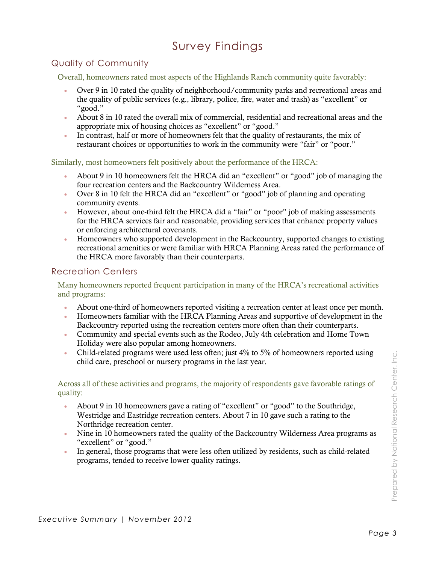## Quality of Community

Overall, homeowners rated most aspects of the Highlands Ranch community quite favorably:

- Over 9 in 10 rated the quality of neighborhood/community parks and recreational areas and the quality of public services (e.g., library, police, fire, water and trash) as "excellent" or "good."
- About 8 in 10 rated the overall mix of commercial, residential and recreational areas and the appropriate mix of housing choices as "excellent" or "good."
- In contrast, half or more of homeowners felt that the quality of restaurants, the mix of restaurant choices or opportunities to work in the community were "fair" or "poor."

Similarly, most homeowners felt positively about the performance of the HRCA:

- About 9 in 10 homeowners felt the HRCA did an "excellent" or "good" job of managing the four recreation centers and the Backcountry Wilderness Area.
- Over 8 in 10 felt the HRCA did an "excellent" or "good" job of planning and operating community events.
- However, about one-third felt the HRCA did a "fair" or "poor" job of making assessments for the HRCA services fair and reasonable, providing services that enhance property values or enforcing architectural covenants.
- Homeowners who supported development in the Backcountry, supported changes to existing recreational amenities or were familiar with HRCA Planning Areas rated the performance of the HRCA more favorably than their counterparts.

#### Recreation Centers

Many homeowners reported frequent participation in many of the HRCA's recreational activities and programs:

- About one-third of homeowners reported visiting a recreation center at least once per month.
- Homeowners familiar with the HRCA Planning Areas and supportive of development in the Backcountry reported using the recreation centers more often than their counterparts.
- Community and special events such as the Rodeo, July 4th celebration and Home Town Holiday were also popular among homeowners.
- Child-related programs were used less often; just 4% to 5% of homeowners reported using child care, preschool or nursery programs in the last year.

Across all of these activities and programs, the majority of respondents gave favorable ratings of quality:

- About 9 in 10 homeowners gave a rating of "excellent" or "good" to the Southridge, Westridge and Eastridge recreation centers. About 7 in 10 gave such a rating to the Northridge recreation center.
- Nine in 10 homeowners rated the quality of the Backcountry Wilderness Area programs as "excellent" or "good."
- In general, those programs that were less often utilized by residents, such as child-related programs, tended to receive lower quality ratings.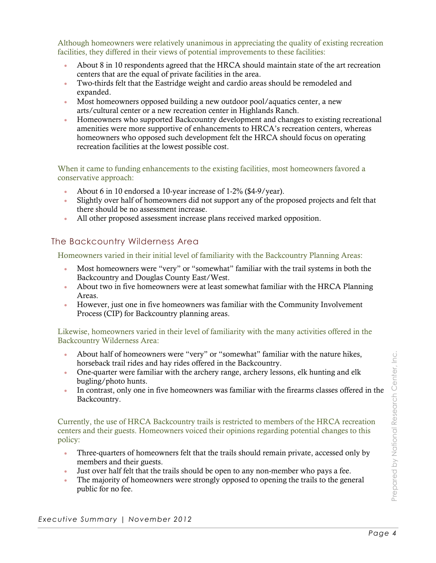Although homeowners were relatively unanimous in appreciating the quality of existing recreation facilities, they differed in their views of potential improvements to these facilities:

- About 8 in 10 respondents agreed that the HRCA should maintain state of the art recreation centers that are the equal of private facilities in the area.
- Two-thirds felt that the Eastridge weight and cardio areas should be remodeled and expanded.
- Most homeowners opposed building a new outdoor pool/aquatics center, a new arts/cultural center or a new recreation center in Highlands Ranch.
- Homeowners who supported Backcountry development and changes to existing recreational amenities were more supportive of enhancements to HRCA's recreation centers, whereas homeowners who opposed such development felt the HRCA should focus on operating recreation facilities at the lowest possible cost.

When it came to funding enhancements to the existing facilities, most homeowners favored a conservative approach:

- About 6 in 10 endorsed a 10-year increase of 1-2% (\$4-9/year).
- Slightly over half of homeowners did not support any of the proposed projects and felt that there should be no assessment increase.
- All other proposed assessment increase plans received marked opposition.

#### The Backcountry Wilderness Area

Homeowners varied in their initial level of familiarity with the Backcountry Planning Areas:

- Most homeowners were "very" or "somewhat" familiar with the trail systems in both the Backcountry and Douglas County East/West.
- About two in five homeowners were at least somewhat familiar with the HRCA Planning Areas.
- However, just one in five homeowners was familiar with the Community Involvement Process (CIP) for Backcountry planning areas.

Likewise, homeowners varied in their level of familiarity with the many activities offered in the Backcountry Wilderness Area:

- About half of homeowners were "very" or "somewhat" familiar with the nature hikes, horseback trail rides and hay rides offered in the Backcountry.
- One-quarter were familiar with the archery range, archery lessons, elk hunting and elk bugling/photo hunts.
- In contrast, only one in five homeowners was familiar with the firearms classes offered in the Backcountry.

Currently, the use of HRCA Backcountry trails is restricted to members of the HRCA recreation centers and their guests. Homeowners voiced their opinions regarding potential changes to this policy:

- Three-quarters of homeowners felt that the trails should remain private, accessed only by members and their guests.
- Just over half felt that the trails should be open to any non-member who pays a fee.
- The majority of homeowners were strongly opposed to opening the trails to the general public for no fee.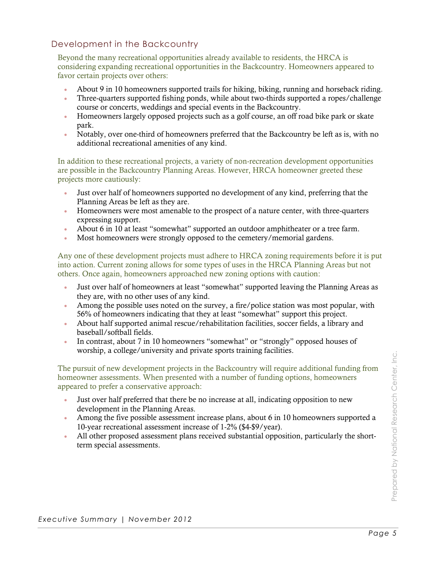## Development in the Backcountry

Beyond the many recreational opportunities already available to residents, the HRCA is considering expanding recreational opportunities in the Backcountry. Homeowners appeared to favor certain projects over others:

- About 9 in 10 homeowners supported trails for hiking, biking, running and horseback riding.
- Three-quarters supported fishing ponds, while about two-thirds supported a ropes/challenge course or concerts, weddings and special events in the Backcountry.
- Homeowners largely opposed projects such as a golf course, an off road bike park or skate park.
- Notably, over one-third of homeowners preferred that the Backcountry be left as is, with no additional recreational amenities of any kind.

In addition to these recreational projects, a variety of non-recreation development opportunities are possible in the Backcountry Planning Areas. However, HRCA homeowner greeted these projects more cautiously:

- Just over half of homeowners supported no development of any kind, preferring that the Planning Areas be left as they are.
- Homeowners were most amenable to the prospect of a nature center, with three-quarters expressing support.
- About 6 in 10 at least "somewhat" supported an outdoor amphitheater or a tree farm.
- Most homeowners were strongly opposed to the cemetery/memorial gardens.

Any one of these development projects must adhere to HRCA zoning requirements before it is put into action. Current zoning allows for some types of uses in the HRCA Planning Areas but not others. Once again, homeowners approached new zoning options with caution:

- Just over half of homeowners at least "somewhat" supported leaving the Planning Areas as they are, with no other uses of any kind.
- Among the possible uses noted on the survey, a fire/police station was most popular, with 56% of homeowners indicating that they at least "somewhat" support this project.
- About half supported animal rescue/rehabilitation facilities, soccer fields, a library and baseball/softball fields.
- In contrast, about 7 in 10 homeowners "somewhat" or "strongly" opposed houses of worship, a college/university and private sports training facilities.

The pursuit of new development projects in the Backcountry will require additional funding from homeowner assessments. When presented with a number of funding options, homeowners appeared to prefer a conservative approach:

- Just over half preferred that there be no increase at all, indicating opposition to new development in the Planning Areas.
- Among the five possible assessment increase plans, about 6 in 10 homeowners supported a 10-year recreational assessment increase of 1-2% (\$4-\$9/year).
- All other proposed assessment plans received substantial opposition, particularly the shortterm special assessments.